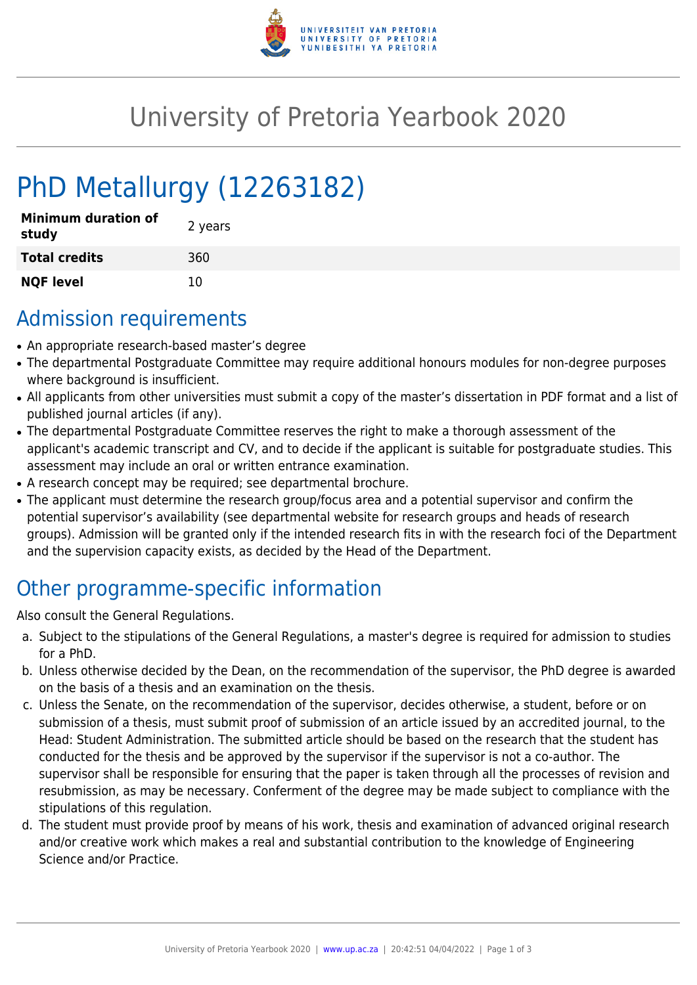

## University of Pretoria Yearbook 2020

# PhD Metallurgy (12263182)

| <b>Minimum duration of</b><br>study | 2 years |
|-------------------------------------|---------|
| <b>Total credits</b>                | 360     |
| <b>NQF level</b>                    | 10      |

### Admission requirements

- An appropriate research-based master's degree
- The departmental Postgraduate Committee may require additional honours modules for non-degree purposes where background is insufficient.
- All applicants from other universities must submit a copy of the master's dissertation in PDF format and a list of published journal articles (if any).
- The departmental Postgraduate Committee reserves the right to make a thorough assessment of the applicant's academic transcript and CV, and to decide if the applicant is suitable for postgraduate studies. This assessment may include an oral or written entrance examination.
- A research concept may be required; see departmental brochure.
- The applicant must determine the research group/focus area and a potential supervisor and confirm the potential supervisor's availability (see departmental website for research groups and heads of research groups). Admission will be granted only if the intended research fits in with the research foci of the Department and the supervision capacity exists, as decided by the Head of the Department.

## Other programme-specific information

Also consult the General Regulations.

- a. Subject to the stipulations of the General Regulations, a master's degree is required for admission to studies for a PhD.
- b. Unless otherwise decided by the Dean, on the recommendation of the supervisor, the PhD degree is awarded on the basis of a thesis and an examination on the thesis.
- c. Unless the Senate, on the recommendation of the supervisor, decides otherwise, a student, before or on submission of a thesis, must submit proof of submission of an article issued by an accredited journal, to the Head: Student Administration. The submitted article should be based on the research that the student has conducted for the thesis and be approved by the supervisor if the supervisor is not a co-author. The supervisor shall be responsible for ensuring that the paper is taken through all the processes of revision and resubmission, as may be necessary. Conferment of the degree may be made subject to compliance with the stipulations of this regulation.
- d. The student must provide proof by means of his work, thesis and examination of advanced original research and/or creative work which makes a real and substantial contribution to the knowledge of Engineering Science and/or Practice.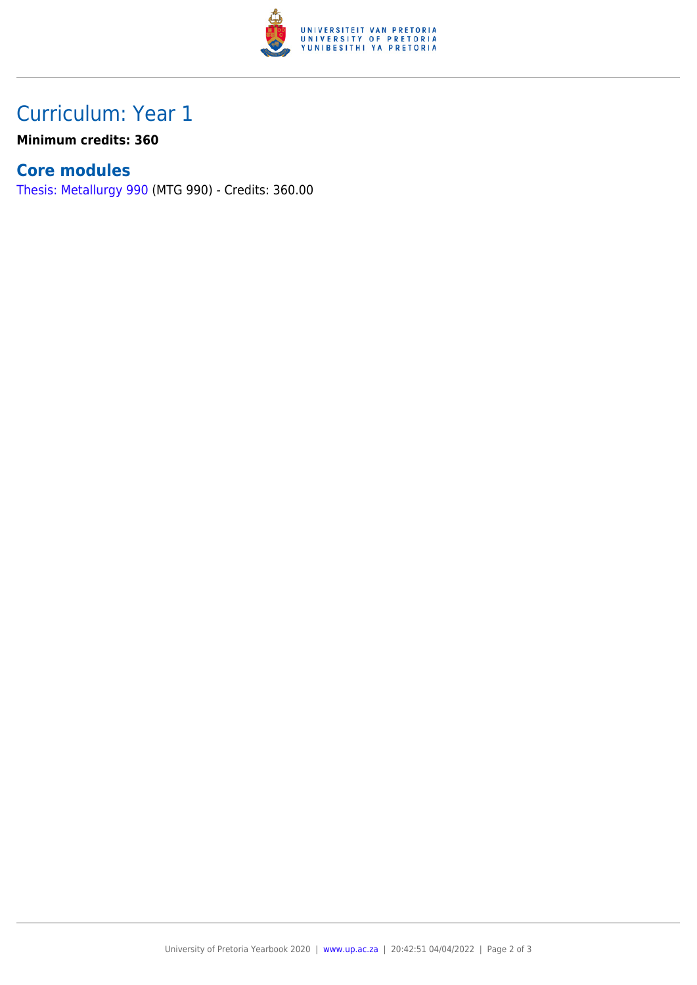

### Curriculum: Year 1

**Minimum credits: 360**

#### **Core modules**

[Thesis: Metallurgy 990](https://www.up.ac.za/faculty-of-education/yearbooks/2020/modules/view/MTG 990) (MTG 990) - Credits: 360.00